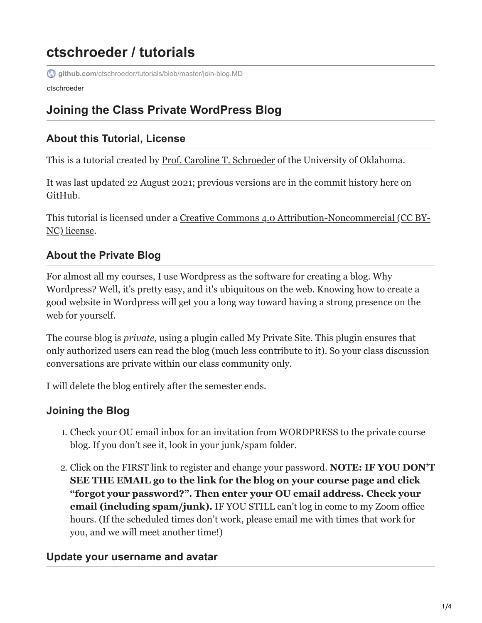# **ctschroeder / tutorials**

**github.com**[/ctschroeder/tutorials/blob/master/join-blog.MD](https://github.com/ctschroeder/tutorials/blob/master/join-blog.MD)

ctschroeder

## **Joining the Class Private WordPress Blog**

### **About this Tutorial, License**

This is a tutorial created by [Prof. Caroline T. Schroeder](http://www.carrieschroeder.com/) of the University of Oklahoma.

It was last updated 22 August 2021; previous versions are in the commit history here on GitHub.

[This tutorial is licensed under a Creative Commons 4.0 Attribution-Noncommercial \(CC BY-](https://creativecommons.org/licenses/by-nc/4.0/)NC) license.

### **About the Private Blog**

For almost all my courses, I use Wordpress as the software for creating a blog. Why Wordpress? Well, it's pretty easy, and it's ubiquitous on the web. Knowing how to create a good website in Wordpress will get you a long way toward having a strong presence on the web for yourself.

The course blog is *private*, using a plugin called My Private Site. This plugin ensures that only authorized users can read the blog (much less contribute to it). So your class discussion conversations are private within our class community only.

I will delete the blog entirely after the semester ends.

### **Joining the Blog**

- 1. Check your OU email inbox for an invitation from WORDPRESS to the private course blog. If you don't see it, look in your junk/spam folder.
- 2. Click on the FIRST link to register and change your password. **NOTE: IF YOU DON'T SEE THE EMAIL go to the link for the blog on your course page and click "forgot your password?". Then enter your OU email address. Check your email (including spam/junk).** IF YOU STILL can't log in come to my Zoom office hours. (If the scheduled times don't work, please email me with times that work for you, and we will meet another time!)

### **Update your username and avatar**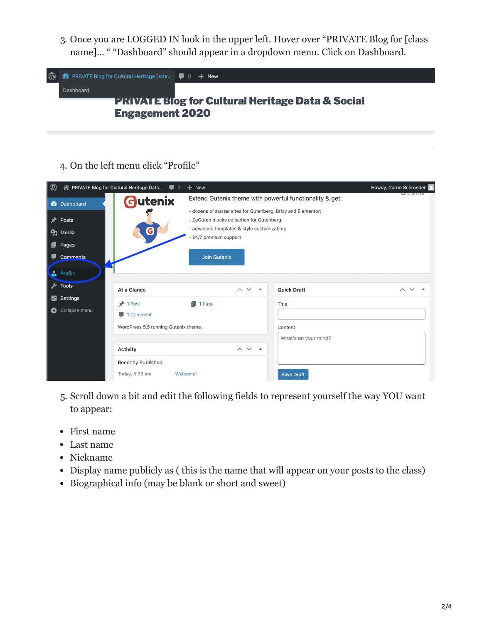3. Once you are LOGGED IN look in the upper left. Hover over "PRIVATE Blog for [class name]… " "Dashboard" should appear in a dropdown menu. Click on Dashboard.



4. On the left menu click "Profile"



- 5. Scroll down a bit and edit the following fields to represent yourself the way YOU want to appear:
- First name
- Last name
- Nickname
- Display name publicly as ( this is the name that will appear on your posts to the class)
- Biographical info (may be blank or short and sweet)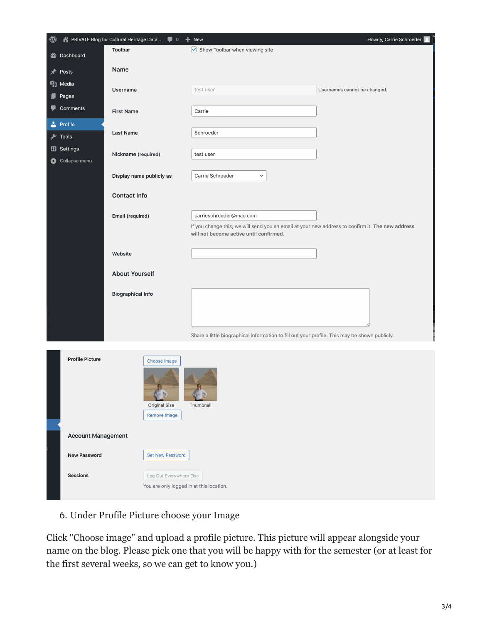| $^{\circledR}$ |                                     | 合 PRIVATE Blog for Cultural Heritage Data ■ 0 + New |                                                                                                                             | Howdy, Carrie Schroeder   8  |
|----------------|-------------------------------------|-----------------------------------------------------|-----------------------------------------------------------------------------------------------------------------------------|------------------------------|
|                | <b>20</b> Dashboard                 | Toolbar                                             | $\vee$ Show Toolbar when viewing site                                                                                       |                              |
| ⊀              | Posts                               | Name                                                |                                                                                                                             |                              |
|                | <b>P<sub>3</sub></b> Media          |                                                     |                                                                                                                             |                              |
| ц              | Pages                               | Username                                            | test user                                                                                                                   | Usernames cannot be changed. |
| v              | <b>Comments</b>                     | <b>First Name</b>                                   | Carrie                                                                                                                      |                              |
|                | Profile                             |                                                     | Schroeder                                                                                                                   |                              |
| ≁              | Tools                               | Last Name                                           |                                                                                                                             |                              |
|                | <b>En</b> Settings<br>Collapse menu | Nickname (required)                                 | test user                                                                                                                   |                              |
|                |                                     | Display name publicly as                            | Carrie Schroeder<br>$\checkmark$                                                                                            |                              |
|                |                                     | <b>Contact Info</b>                                 |                                                                                                                             |                              |
|                |                                     |                                                     |                                                                                                                             |                              |
|                |                                     | Email (required)                                    | carrieschroeder@mac.com<br>If you change this, we will send you an email at your new address to confirm it. The new address |                              |
|                |                                     |                                                     | will not become active until confirmed.                                                                                     |                              |
|                |                                     | Website                                             |                                                                                                                             |                              |
|                |                                     |                                                     |                                                                                                                             |                              |
|                |                                     | <b>About Yourself</b>                               |                                                                                                                             |                              |
|                |                                     | <b>Biographical Info</b>                            |                                                                                                                             |                              |
|                |                                     |                                                     |                                                                                                                             |                              |
|                |                                     |                                                     |                                                                                                                             |                              |
|                |                                     |                                                     | Share a little biographical information to fill out your profile. This may be shown publicly.                               |                              |
|                |                                     |                                                     |                                                                                                                             |                              |
|                | <b>Profile Picture</b>              | Choose Image                                        |                                                                                                                             |                              |
|                |                                     |                                                     |                                                                                                                             |                              |
|                |                                     |                                                     |                                                                                                                             |                              |
|                |                                     |                                                     |                                                                                                                             |                              |
|                |                                     | Original Size                                       | Thumbnail                                                                                                                   |                              |
|                |                                     | Remove Image                                        |                                                                                                                             |                              |
|                | <b>Account Management</b>           |                                                     |                                                                                                                             |                              |
|                | <b>New Password</b>                 | <b>Set New Password</b>                             |                                                                                                                             |                              |
|                | <b>Sessions</b>                     | Log Out Everywhere Else                             |                                                                                                                             |                              |
|                |                                     | You are only logged in at this location.            |                                                                                                                             |                              |

6. Under Profile Picture choose your Image

Click "Choose image" and upload a profile picture. This picture will appear alongside your name on the blog. Please pick one that you will be happy with for the semester (or at least for the first several weeks, so we can get to know you.)